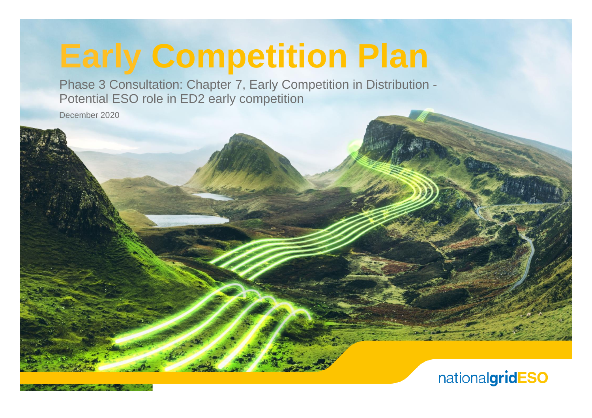# **Early Competition Plan**

Phase 3 Consultation: Chapter 7, Early Competition in Distribution - Potential ESO role in ED2 early competition

December 2020

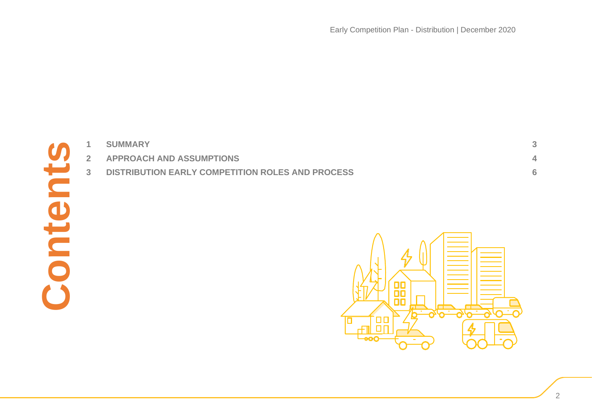| $\mathbf{1}$   | <b>SUMMARY</b>                                   | 3              |
|----------------|--------------------------------------------------|----------------|
| $\overline{2}$ | <b>APPROACH AND ASSUMPTIONS</b>                  | 4              |
| 3 <sup>1</sup> | DISTRIBUTION EARLY COMPETITION ROLES AND PROCESS | $6\phantom{a}$ |
|                | ΠC<br>OC                                         |                |

**Contents**

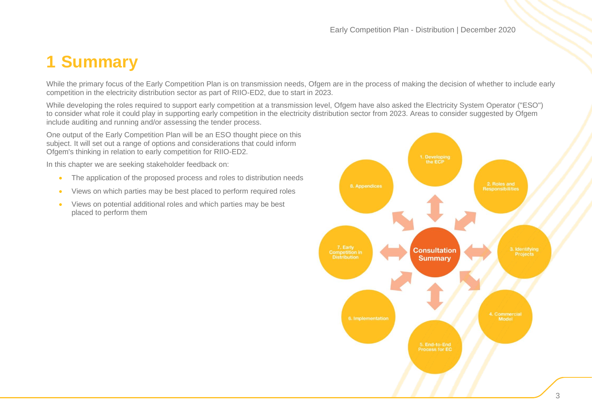# <span id="page-2-0"></span>**1 Summary**

While the primary focus of the Early Competition Plan is on transmission needs, Ofgem are in the process of making the decision of whether to include early competition in the electricity distribution sector as part of RIIO-ED2, due to start in 2023.

While developing the roles required to support early competition at a transmission level, Ofgem have also asked the Electricity System Operator ("ESO") to consider what role it could play in supporting early competition in the electricity distribution sector from 2023. Areas to consider suggested by Ofgem include auditing and running and/or assessing the tender process.

One output of the Early Competition Plan will be an ESO thought piece on this subject. It will set out a range of options and considerations that could inform Ofgem's thinking in relation to early competition for RIIO-ED2.

In this chapter we are seeking stakeholder feedback on:

- The application of the proposed process and roles to distribution needs
- Views on which parties may be best placed to perform required roles
- Views on potential additional roles and which parties may be best placed to perform them

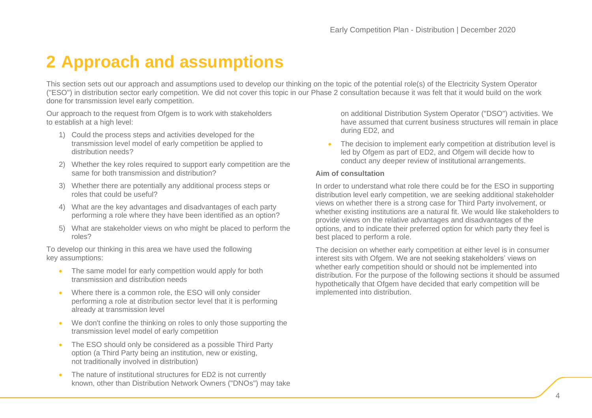# <span id="page-3-0"></span>**2 Approach and assumptions**

This section sets out our approach and assumptions used to develop our thinking on the topic of the potential role(s) of the Electricity System Operator ("ESO") in distribution sector early competition. We did not cover this topic in our Phase 2 consultation because it was felt that it would build on the work done for transmission level early competition.

Our approach to the request from Ofgem is to work with stakeholders to establish at a high level:

- 1) Could the process steps and activities developed for the transmission level model of early competition be applied to distribution needs?
- 2) Whether the key roles required to support early competition are the same for both transmission and distribution?
- 3) Whether there are potentially any additional process steps or roles that could be useful?
- 4) What are the key advantages and disadvantages of each party performing a role where they have been identified as an option?
- 5) What are stakeholder views on who might be placed to perform the roles?

To develop our thinking in this area we have used the following key assumptions:

- The same model for early competition would apply for both transmission and distribution needs
- Where there is a common role, the ESO will only consider performing a role at distribution sector level that it is performing already at transmission level
- We don't confine the thinking on roles to only those supporting the transmission level model of early competition
- The ESO should only be considered as a possible Third Party option (a Third Party being an institution, new or existing, not traditionally involved in distribution)
- The nature of institutional structures for ED2 is not currently known, other than Distribution Network Owners ("DNOs") may take

on additional Distribution System Operator ("DSO") activities. We have assumed that current business structures will remain in place during ED2, and

The decision to implement early competition at distribution level is led by Ofgem as part of ED2, and Ofgem will decide how to conduct any deeper review of institutional arrangements.

#### **Aim of consultation**

In order to understand what role there could be for the ESO in supporting distribution level early competition, we are seeking additional stakeholder views on whether there is a strong case for Third Party involvement, or whether existing institutions are a natural fit. We would like stakeholders to provide views on the relative advantages and disadvantages of the options, and to indicate their preferred option for which party they feel is best placed to perform a role.

The decision on whether early competition at either level is in consumer interest sits with Ofgem. We are not seeking stakeholders' views on whether early competition should or should not be implemented into distribution. For the purpose of the following sections it should be assumed hypothetically that Ofgem have decided that early competition will be implemented into distribution.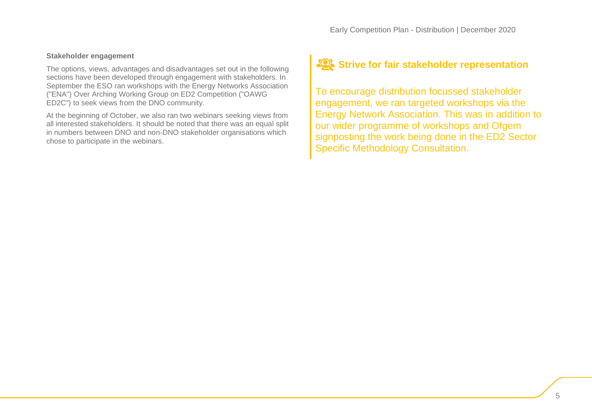# **Stakeholder engagement**

The options, views, advantages and disadvantages set out in the following sections have been developed through engagement with stakeholders. In September the ESO ran workshops with the Energy Networks Association ("ENA") Over Arching Working Group on ED2 Competition ("OAWG ED2C") to seek views from the DNO community.

At the beginning of October, we also ran two webinars seeking views from all interested stakeholders. It should be noted that there was an equal split in numbers between DNO and non-DNO stakeholder organisations which chose to participate in the webinars.

# **Strive for fair stakeholder representation**

To encourage distribution focussed stakeholder engagement, we ran targeted workshops via the Energy Network Association. This was in addition to our wider programme of workshops and Ofgem signposting the work being done in the ED2 Sector Specific Methodology Consultation.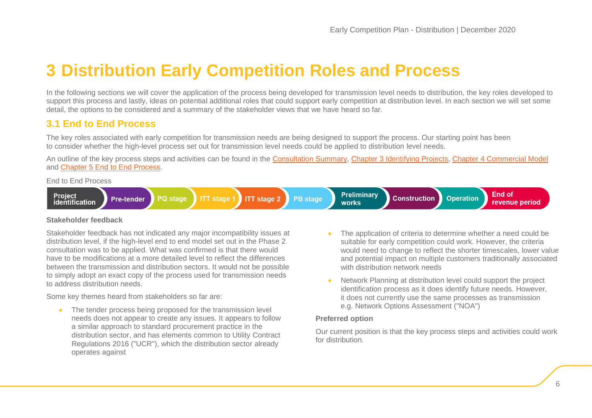# <span id="page-5-0"></span>**3 Distribution Early Competition Roles and Process**

In the following sections we will cover the application of the process being developed for transmission level needs to distribution, the key roles developed to support this process and lastly, ideas on potential additional roles that could support early competition at distribution level. In each section we will set some detail, the options to be considered and a summary of the stakeholder views that we have heard so far.

# **3.1 End to End Process**

The key roles associated with early competition for transmission needs are being designed to support the process. Our starting point has been to consider whether the high-level process set out for transmission level needs could be applied to distribution level needs.

An outline of the key process steps and activities can be found in the [Consultation](https://www.nationalgrideso.com/document/181901/download) Summary, Chapter 3 [Identifying Projects,](https://www.nationalgrideso.com/document/181916/download) Chapter 4 [Commercial Model](https://www.nationalgrideso.com/document/181921/download) and Chapter 5 [End to End Process.](https://www.nationalgrideso.com/document/181926/download)

End to End Process



# **Stakeholder feedback**

Stakeholder feedback has not indicated any major incompatibility issues at distribution level, if the high-level end to end model set out in the Phase 2 consultation was to be applied. What was confirmed is that there would have to be modifications at a more detailed level to reflect the differences between the transmission and distribution sectors. It would not be possible to simply adopt an exact copy of the process used for transmission needs to address distribution needs.

Some key themes heard from stakeholders so far are:

• The tender process being proposed for the transmission level needs does not appear to create any issues. It appears to follow a similar approach to standard procurement practice in the distribution sector, and has elements common to Utility Contract Regulations 2016 ("UCR"), which the distribution sector already operates against

- The application of criteria to determine whether a need could be suitable for early competition could work. However, the criteria would need to change to reflect the shorter timescales, lower value and potential impact on multiple customers traditionally associated with distribution network needs
- Network Planning at distribution level could support the project identification process as it does identify future needs. However, it does not currently use the same processes as transmission e.g. Network Options Assessment ("NOA")

# **Preferred option**

Our current position is that the key process steps and activities could work for distribution.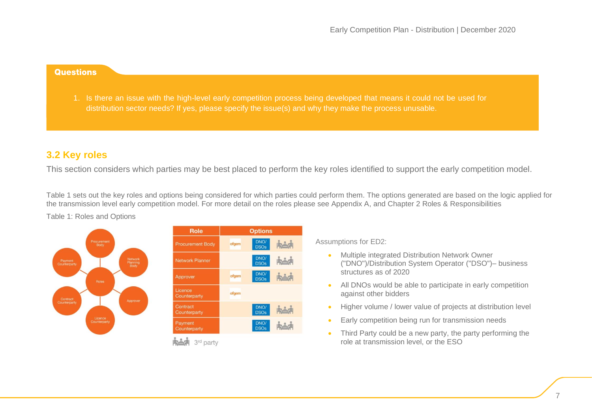#### **Questions**

1. Is there an issue with the high-level early competition process being developed that means it could not be used for distribution sector needs? If yes, please specify the issue(s) and why they make the process unusable.

# **3.2 Key roles**

This section considers which parties may be best placed to perform the key roles identified to support the early competition model.

[Table 1](#page-6-0) sets out the key roles and options being considered for which parties could perform them. The options generated are based on the logic applied for the transmission level early competition model. For more detail on the roles please see Appendix A, and Chapter 2 Roles & Responsibilities



| Upuons |                     |            |  |
|--------|---------------------|------------|--|
| ofgem  | DNO/<br><b>DSOs</b> | 南音利        |  |
|        | DNO/<br><b>DSOs</b> | 临音         |  |
| ofgem  | DNO/<br><b>DSOs</b> | <b>KAA</b> |  |
| ofgem  |                     |            |  |
|        | DNO/<br><b>DSOs</b> | トール        |  |
|        | DNO/<br><b>DSOs</b> | انذا       |  |
|        |                     |            |  |

<sup>3</sup>rd party

Assumptions for ED2:

- <span id="page-6-0"></span>• Multiple integrated Distribution Network Owner ("DNO")/Distribution System Operator ("DSO")– business structures as of 2020
- All DNOs would be able to participate in early competition against other bidders
- Higher volume / lower value of projects at distribution level
- Early competition being run for transmission needs
- Third Party could be a new party, the party performing the role at transmission level, or the ESO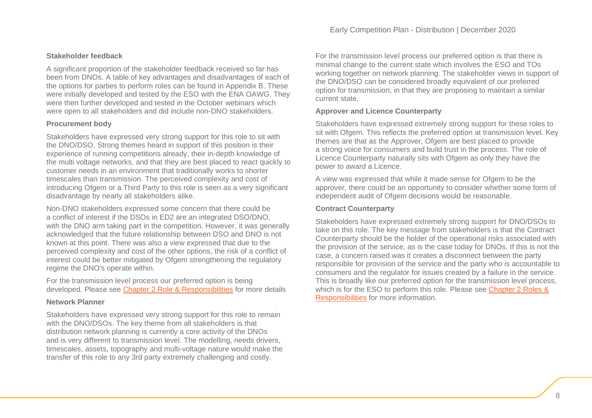# **Stakeholder feedback**

A significant proportion of the stakeholder feedback received so far has been from DNOs. A table of key advantages and disadvantages of each of the options for parties to perform roles can be found in Appendix B. These were initially developed and tested by the ESO with the ENA OAWG. They were then further developed and tested in the October webinars which were open to all stakeholders and did include non-DNO stakeholders.

# **Procurement body**

Stakeholders have expressed very strong support for this role to sit with the DNO/DSO. Strong themes heard in support of this position is their experience of running competitions already, their in-depth knowledge of the multi voltage networks, and that they are best placed to react quickly to customer needs in an environment that traditionally works to shorter timescales than transmission. The perceived complexity and cost of introducing Ofgem or a Third Party to this role is seen as a very significant disadvantage by nearly all stakeholders alike.

Non-DNO stakeholders expressed some concern that there could be a conflict of interest if the DSOs in ED2 are an integrated DSO/DNO, with the DNO arm taking part in the competition. However, it was generally acknowledged that the future relationship between DSO and DNO is not known at this point. There was also a view expressed that due to the perceived complexity and cost of the other options, the risk of a conflict of interest could be better mitigated by Ofgem strengthening the regulatory regime the DNO's operate within.

For the transmission level process our preferred option is being developed. Please see [Chapter 2 Role & Responsibilities](https://www.nationalgrideso.com/document/181911/download) for more details

# **Network Planner**

Stakeholders have expressed very strong support for this role to remain with the DNO/DSOs. The key theme from all stakeholders is that distribution network planning is currently a core activity of the DNOs and is very different to transmission level. The modelling, needs drivers, timescales, assets, topography and multi-voltage nature would make the transfer of this role to any 3rd party extremely challenging and costly.

For the transmission level process our preferred option is that there is minimal change to the current state which involves the ESO and TOs working together on network planning. The stakeholder views in support of the DNO/DSO can be considered broadly equivalent of our preferred option for transmission, in that they are proposing to maintain a similar current state.

# **Approver and Licence Counterparty**

Stakeholders have expressed extremely strong support for these roles to sit with Ofgem. This reflects the preferred option at transmission level. Key themes are that as the Approver. Ofgem are best placed to provide a strong voice for consumers and build trust in the process. The role of Licence Counterparty naturally sits with Ofgem as only they have the power to award a Licence.

A view was expressed that while it made sense for Ofgem to be the approver, there could be an opportunity to consider whether some form of independent audit of Ofgem decisions would be reasonable.

#### **Contract Counterparty**

Stakeholders have expressed extremely strong support for DNO/DSOs to take on this role. The key message from stakeholders is that the Contract Counterparty should be the holder of the operational risks associated with the provision of the service, as is the case today for DNOs. If this is not the case, a concern raised was it creates a disconnect between the party responsible for provision of the service and the party who is accountable to consumers and the regulator for issues created by a failure in the service. This is broadly like our preferred option for the transmission level process, which is for the ESO to perform this role. Please see Chapter 2 Roles & [Responsibilities](https://www.nationalgrideso.com/document/181911/download) for more information.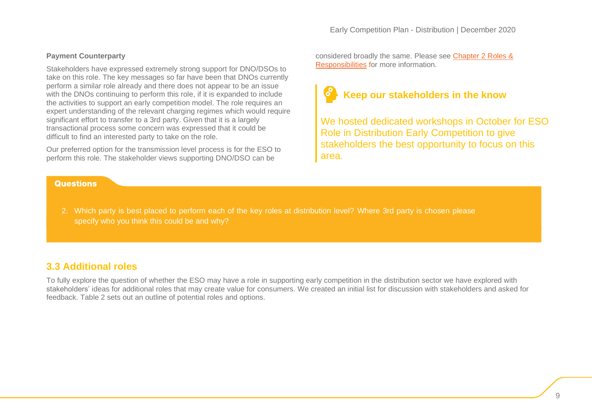# **Payment Counterparty**

Stakeholders have expressed extremely strong support for DNO/DSOs to take on this role. The key messages so far have been that DNOs currently perform a similar role already and there does not appear to be an issue with the DNOs continuing to perform this role, if it is expanded to include the activities to support an early competition model. The role requires an expert understanding of the relevant charging regimes which would require significant effort to transfer to a 3rd party. Given that it is a largely transactional process some concern was expressed that it could be difficult to find an interested party to take on the role.

Our preferred option for the transmission level process is for the ESO to perform this role. The stakeholder views supporting DNO/DSO can be

# **Questions**

considered broadly the same. Please see [Chapter 2 Roles &](https://www.nationalgrideso.com/document/181911/download)  [Responsibilities](https://www.nationalgrideso.com/document/181911/download) for more information.

# **Keep our stakeholders in the know**

We hosted dedicated workshops in October for ESO Role in Distribution Early Competition to give stakeholders the best opportunity to focus on this area.

2. Which party is best placed to perform each of the key roles at distribution level? Where 3rd party is chosen please specify who you think this could be and why?

# **3.3 Additional roles**

To fully explore the question of whether the ESO may have a role in supporting early competition in the distribution sector we have explored with stakeholders' ideas for additional roles that may create value for consumers. We created an initial list for discussion with stakeholders and asked for feedback. Table 2 sets out an outline of potential roles and options.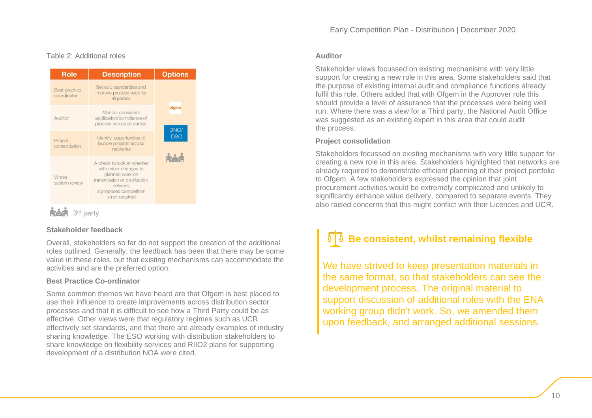# Table 2: Additional roles

| <b>Role</b>                         | <b>Description</b>                                                                                                                                              | <b>Options</b>              |  |
|-------------------------------------|-----------------------------------------------------------------------------------------------------------------------------------------------------------------|-----------------------------|--|
| <b>Best practice</b><br>coordinator | Set out, standardise and<br>improve process used by<br>all parties                                                                                              |                             |  |
| Auditor                             | Monitor consistent<br>application/compliance of<br>process across all parties                                                                                   | ofgem<br>DNO/<br><b>DSO</b> |  |
| Project<br>consolidation            | Identify opportunities to<br>bundle projects across<br>networks                                                                                                 |                             |  |
| Whole<br>system review              | A check to look at whether<br>with minor changes to<br>planned work on<br>transmission or distribution<br>network,<br>a proposed competition<br>is not required |                             |  |

# **Stakeholder feedback**

Overall, stakeholders so far do not support the creation of the additional roles outlined. Generally, the feedback has been that there may be some value in these roles, but that existing mechanisms can accommodate the activities and are the preferred option.

# **Best Practice Co-ordinator**

Some common themes we have heard are that Ofgem is best placed to use their influence to create improvements across distribution sector processes and that it is difficult to see how a Third Party could be as effective. Other views were that regulatory regimes such as UCR effectively set standards, and that there are already examples of industry sharing knowledge. The ESO working with distribution stakeholders to share knowledge on flexibility services and RIIO2 plans for supporting development of a distribution NOA were cited.

#### **Auditor**

Stakeholder views focussed on existing mechanisms with very little support for creating a new role in this area. Some stakeholders said that the purpose of existing internal audit and compliance functions already fulfil this role. Others added that with Ofgem in the Approver role this should provide a level of assurance that the processes were being well run. Where there was a view for a Third party, the National Audit Office was suggested as an existing expert in this area that could audit the process.

# **Project consolidation**

Stakeholders focussed on existing mechanisms with very little support for creating a new role in this area. Stakeholders highlighted that networks are already required to demonstrate efficient planning of their project portfolio to Ofgem. A few stakeholders expressed the opinion that joint procurement activities would be extremely complicated and unlikely to significantly enhance value delivery, compared to separate events. They also raised concerns that this might conflict with their Licences and UCR.

# **Be consistent, whilst remaining flexible**

We have strived to keep presentation materials in the same format, so that stakeholders can see the development process. The original material to support discussion of additional roles with the ENA working group didn't work. So, we amended them upon feedback, and arranged additional sessions.